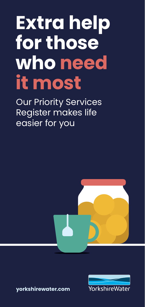# **Extra help for those who need it most**

Our Priority Services Register makes life easier for you





**[yorkshirewater.com](http://yorkshirewater.com)**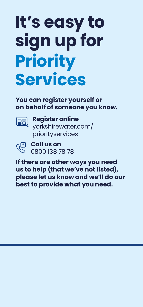# **It's easy to sign up for Priority Services**

**You can register yourself or on behalf of someone you know.**



 **Register online** [yorkshirewater.com/](http://yorkshirewater.com/priorityservices) [priorityservices](http://yorkshirewater.com/priorityservices)



 **Call us on** 0800 138 78 78

**If there are other ways you need us to help (that we've not listed), please let us know and we'll do our best to provide what you need.**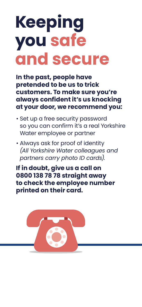# **Keeping you safe and secure**

**In the past, people have pretended to be us to trick customers. To make sure you're always confident it's us knocking at your door, we recommend you:**

- Set up a free security password so you can confirm it's a real Yorkshire Water employee or partner
- Always ask for proof of identity *(All Yorkshire Water colleagues and partners carry photo ID cards).*

**If in doubt, give us a call on 0800 138 78 78 straight away to check the employee number printed on their card.**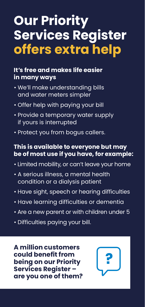# **Our Priority Services Register offers extra help**

#### **It's free and makes life easier in many ways**

- We'll make understanding bills and water meters simpler
- Offer help with paying your bill
- Provide a temporary water supply if yours is interrupted
- Protect you from bogus callers.

#### **This is available to everyone but may be of most use if you have, for example:**

- Limited mobility, or can't leave your home
- A serious illness, a mental health condition or a dialysis patient
- Have sight, speech or hearing difficulties
- Have learning difficulties or dementia
- Are a new parent or with children under 5
- Difficulties paying your bill.

**A million customers could benefit from being on our Priority Services Register – are you one of them?** 

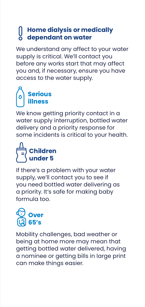#### **Home dialysis or medically dependant on water**

We understand any affect to your water supply is critical. We'll contact you before any works start that may affect you and, if necessary, ensure you have access to the water supply.

### **Serious illness**

We know getting priority contact in a water supply interruption, bottled water delivery and a priority response for some incidents is critical to your health.

## **Children under 5**

If there's a problem with your water supply, we'll contact you to see if you need bottled water delivering as a priority. It's safe for making baby formula too.



Mobility challenges, bad weather or being at home more may mean that getting bottled water delivered, having a nominee or getting bills in large print can make things easier.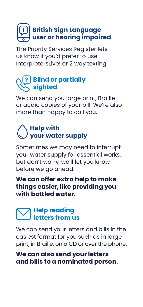### **British Sign Language user or hearing impaired**

The Priority Services Register lets us know if you'd prefer to use InterpretersLive! or 2 way texting.

#### **Blind or partially sighted**

We can send you large print, Braille or audio copies of your bill. We're also more than happy to call you.

### **Help with your water supply**

Sometimes we may need to interrupt your water supply for essential works, but don't worry, we'll let you know before we go ahead.

#### **We can offer extra help to make things easier, like providing you with bottled water.**

#### **Help reading letters from us**

We can send your letters and bills in the easiest format for you such as in large print, in Braille, on a CD or over the phone.

#### **We can also send your letters and bills to a nominated person.**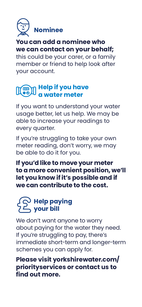

#### **You can add a nominee who we can contact on your behalf;**

this could be your carer, or a family member or friend to help look after your account.

#### **Help if you have a water meter**

If you want to understand your water usage better, let us help. We may be able to increase your readings to every quarter.

If you're struggling to take your own meter reading, don't worry, we may be able to do it for you.

**If you'd like to move your meter to a more convenient position, we'll let you know if it's possible and if we can contribute to the cost..**

#### **Help paying your bill**

We don't want anyone to worry about paying for the water they need. If you're struggling to pay, there's immediate short-term and longer-term schemes you can apply for.

**Please visit [yorkshirewater.com/](http://yorkshirewater.com/priorityservices) [priorityservices](http://yorkshirewater.com/priorityservices) or contact us to find out more.**